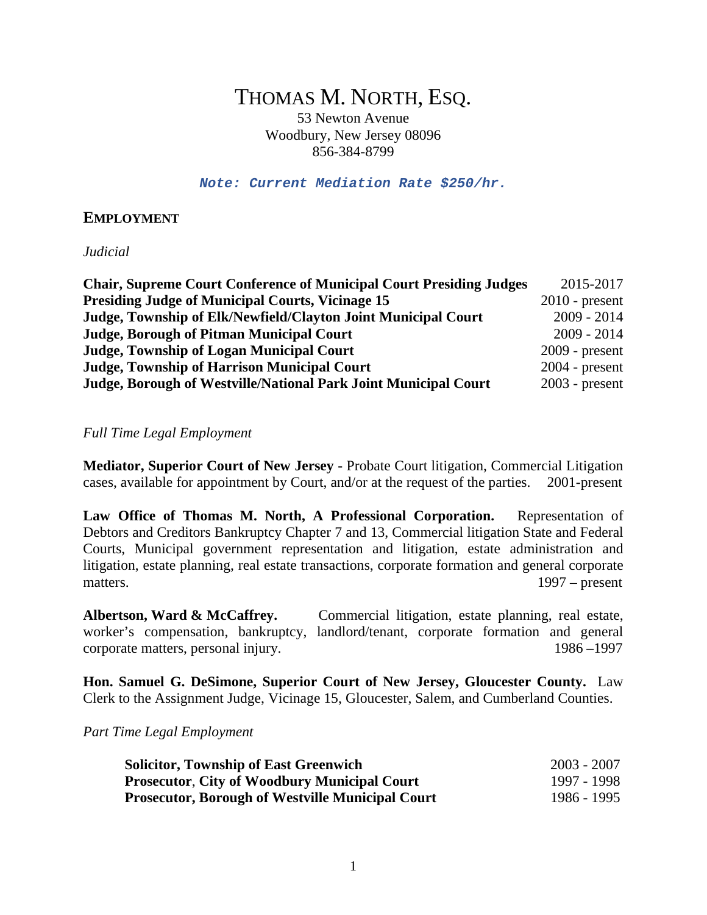# THOMAS M. NORTH, ESQ.

53 Newton Avenue Woodbury, New Jersey 08096 856-384-8799

*Note: Current Mediation Rate \$250/hr.*

## **EMPLOYMENT**

*Judicial* 

| <b>Chair, Supreme Court Conference of Municipal Court Presiding Judges</b> | 2015-2017        |
|----------------------------------------------------------------------------|------------------|
| <b>Presiding Judge of Municipal Courts, Vicinage 15</b>                    | $2010$ - present |
| Judge, Township of Elk/Newfield/Clayton Joint Municipal Court              | $2009 - 2014$    |
| <b>Judge, Borough of Pitman Municipal Court</b>                            | $2009 - 2014$    |
| <b>Judge, Township of Logan Municipal Court</b>                            | $2009$ - present |
| <b>Judge, Township of Harrison Municipal Court</b>                         | $2004$ - present |
| Judge, Borough of Westville/National Park Joint Municipal Court            | $2003$ - present |

#### *Full Time Legal Employment*

**Mediator, Superior Court of New Jersey -** Probate Court litigation, Commercial Litigation cases, available for appointment by Court, and/or at the request of the parties. 2001-present

**Law Office of Thomas M. North, A Professional Corporation.** Representation of Debtors and Creditors Bankruptcy Chapter 7 and 13, Commercial litigation State and Federal Courts, Municipal government representation and litigation, estate administration and litigation, estate planning, real estate transactions, corporate formation and general corporate matters. 1997 – present

Albertson, Ward & McCaffrey. Commercial litigation, estate planning, real estate, worker's compensation, bankruptcy, landlord/tenant, corporate formation and general corporate matters, personal injury. 1986 –1997

**Hon. Samuel G. DeSimone, Superior Court of New Jersey, Gloucester County.** Law Clerk to the Assignment Judge, Vicinage 15, Gloucester, Salem, and Cumberland Counties.

*Part Time Legal Employment*

| <b>Solicitor, Township of East Greenwich</b>            | $2003 - 2007$ |
|---------------------------------------------------------|---------------|
| <b>Prosecutor, City of Woodbury Municipal Court</b>     | 1997 - 1998   |
| <b>Prosecutor, Borough of Westville Municipal Court</b> | 1986 - 1995   |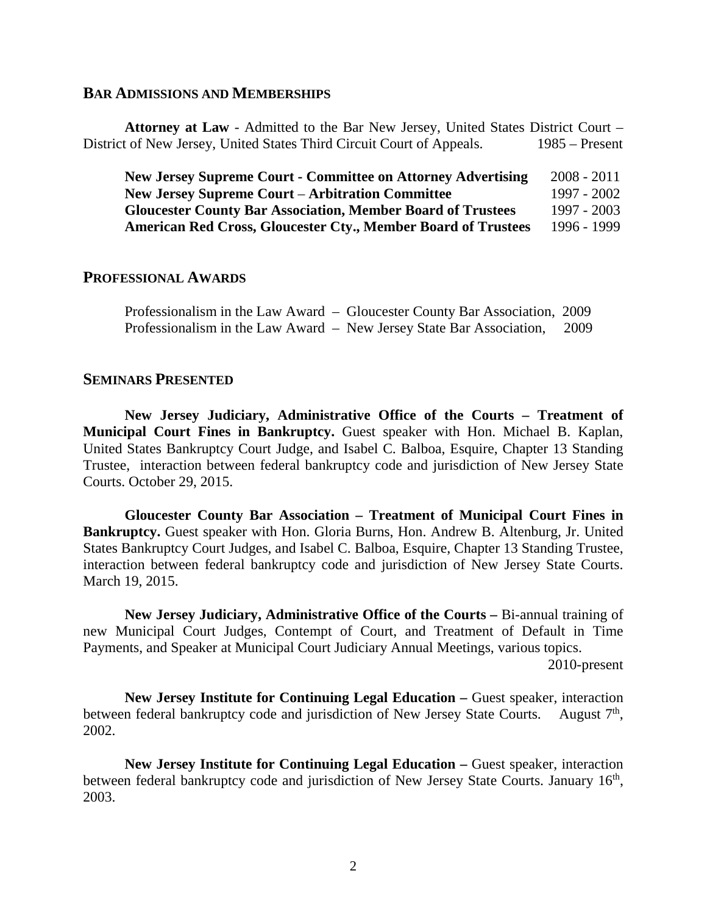#### **BAR ADMISSIONS AND MEMBERSHIPS**

**Attorney at Law** - Admitted to the Bar New Jersey, United States District Court – District of New Jersey, United States Third Circuit Court of Appeals. 1985 – Present

**New Jersey Supreme Court - Committee on Attorney Advertising** 2008 - 2011 **New Jersey Supreme Court** – **Arbitration Committee** 1997 - 2002 **Gloucester County Bar Association, Member Board of Trustees** 1997 - 2003 **American Red Cross, Gloucester Cty., Member Board of Trustees** 1996 - 1999

### **PROFESSIONAL AWARDS**

Professionalism in the Law Award – Gloucester County Bar Association, 2009 Professionalism in the Law Award – New Jersey State Bar Association, 2009

# **SEMINARS PRESENTED**

**New Jersey Judiciary, Administrative Office of the Courts – Treatment of Municipal Court Fines in Bankruptcy.** Guest speaker with Hon. Michael B. Kaplan, United States Bankruptcy Court Judge, and Isabel C. Balboa, Esquire, Chapter 13 Standing Trustee, interaction between federal bankruptcy code and jurisdiction of New Jersey State Courts. October 29, 2015.

**Gloucester County Bar Association – Treatment of Municipal Court Fines in Bankruptcy.** Guest speaker with Hon. Gloria Burns, Hon. Andrew B. Altenburg, Jr. United States Bankruptcy Court Judges, and Isabel C. Balboa, Esquire, Chapter 13 Standing Trustee, interaction between federal bankruptcy code and jurisdiction of New Jersey State Courts. March 19, 2015.

**New Jersey Judiciary, Administrative Office of the Courts –** Bi-annual training of new Municipal Court Judges, Contempt of Court, and Treatment of Default in Time Payments, and Speaker at Municipal Court Judiciary Annual Meetings, various topics.

2010-present

**New Jersey Institute for Continuing Legal Education –** Guest speaker, interaction between federal bankruptcy code and jurisdiction of New Jersey State Courts. August 7<sup>th</sup>, 2002.

**New Jersey Institute for Continuing Legal Education –** Guest speaker, interaction between federal bankruptcy code and jurisdiction of New Jersey State Courts. January 16<sup>th</sup>, 2003.